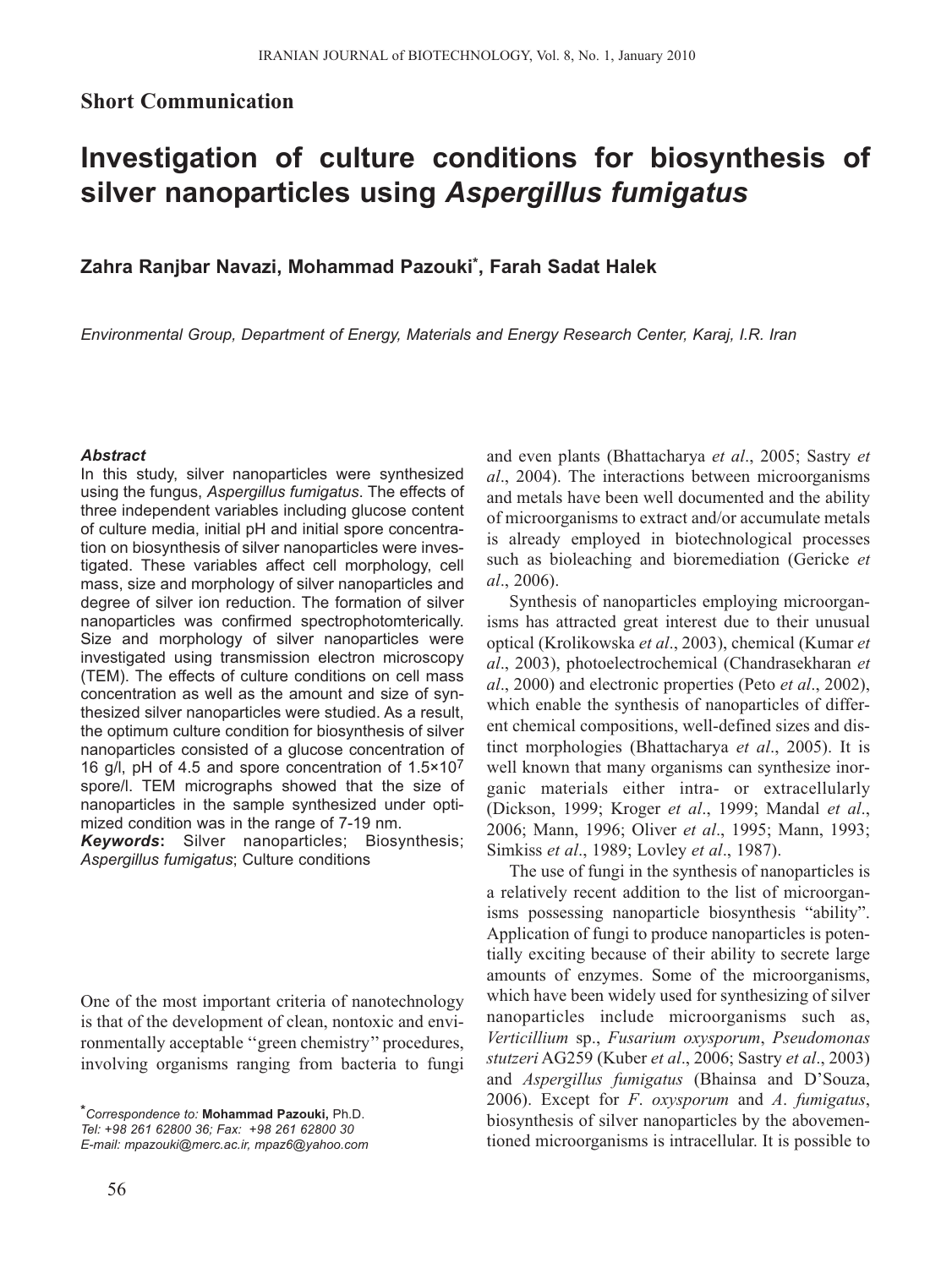# **Short Communication**

# **Investigation of culture conditions for biosynthesis of silver nanoparticles using** *Aspergillus fumigatus*

**Zahra Ranjbar Navazi, Mohammad Pazouki\*, Farah Sadat Halek**

*Environmental Group, Department of Energy, Materials and Energy Research Center, Karaj, I.R. Iran*

#### *Abstract*

In this study, silver nanoparticles were synthesized using the fungus, *Aspergillus fumigatus*. The effects of three independent variables including glucose content of culture media, initial pH and initial spore concentration on biosynthesis of silver nanoparticles were investigated. These variables affect cell morphology, cell mass, size and morphology of silver nanoparticles and degree of silver ion reduction. The formation of silver nanoparticles was confirmed spectrophotomterically. Size and morphology of silver nanoparticles were investigated using transmission electron microscopy (TEM). The effects of culture conditions on cell mass concentration as well as the amount and size of synthesized silver nanoparticles were studied. As a result, the optimum culture condition for biosynthesis of silver nanoparticles consisted of a glucose concentration of 16 g/l, pH of 4.5 and spore concentration of  $1.5 \times 10^7$ spore/l. TEM micrographs showed that the size of nanoparticles in the sample synthesized under optimized condition was in the range of 7-19 nm.

*Keywords***:** Silver nanoparticles; Biosynthesis; *Aspergillus fumigatus*; Culture conditions

One of the most important criteria of nanotechnology is that of the development of clean, nontoxic and environmentally acceptable ''green chemistry'' procedures, involving organisms ranging from bacteria to fungi

*\*Correspondence to:* **Mohammad Pazouki,** Ph.D. *Tel: +98 261 62800 36; Fax: +98 261 62800 30 E-mail: mpazouki@merc.ac.ir, mpaz6@yahoo.com* and even plants (Bhattacharya *et al*., 2005; Sastry *et al*., 2004). The interactions between microorganisms and metals have been well documented and the ability of microorganisms to extract and/or accumulate metals is already employed in biotechnological processes such as bioleaching and bioremediation (Gericke *et al*., 2006).

Synthesis of nanoparticles employing microorganisms has attracted great interest due to their unusual optical (Krolikowska *et al*., 2003), chemical (Kumar *et al*., 2003), photoelectrochemical (Chandrasekharan *et al*., 2000) and electronic properties (Peto *et al*., 2002), which enable the synthesis of nanoparticles of different chemical compositions, well-defined sizes and distinct morphologies (Bhattacharya *et al*., 2005). It is well known that many organisms can synthesize inorganic materials either intra- or extracellularly (Dickson, 1999; Kroger *et al*., 1999; Mandal *et al*., 2006; Mann, 1996; Oliver *et al*., 1995; Mann, 1993; Simkiss *et al*., 1989; Lovley *et al*., 1987).

The use of fungi in the synthesis of nanoparticles is a relatively recent addition to the list of microorganisms possessing nanoparticle biosynthesis "ability". Application of fungi to produce nanoparticles is potentially exciting because of their ability to secrete large amounts of enzymes. Some of the microorganisms, which have been widely used for synthesizing of silver nanoparticles include microorganisms such as, *Verticillium* sp., *Fusarium oxysporum*, *Pseudomonas stutzeri* AG259 (Kuber *et al*., 2006; Sastry *et al*., 2003) and *Aspergillus fumigatus* (Bhainsa and D'Souza, 2006). Except for *F*. *oxysporum* and *A*. *fumigatus*, biosynthesis of silver nanoparticles by the abovementioned microorganisms is intracellular. It is possible to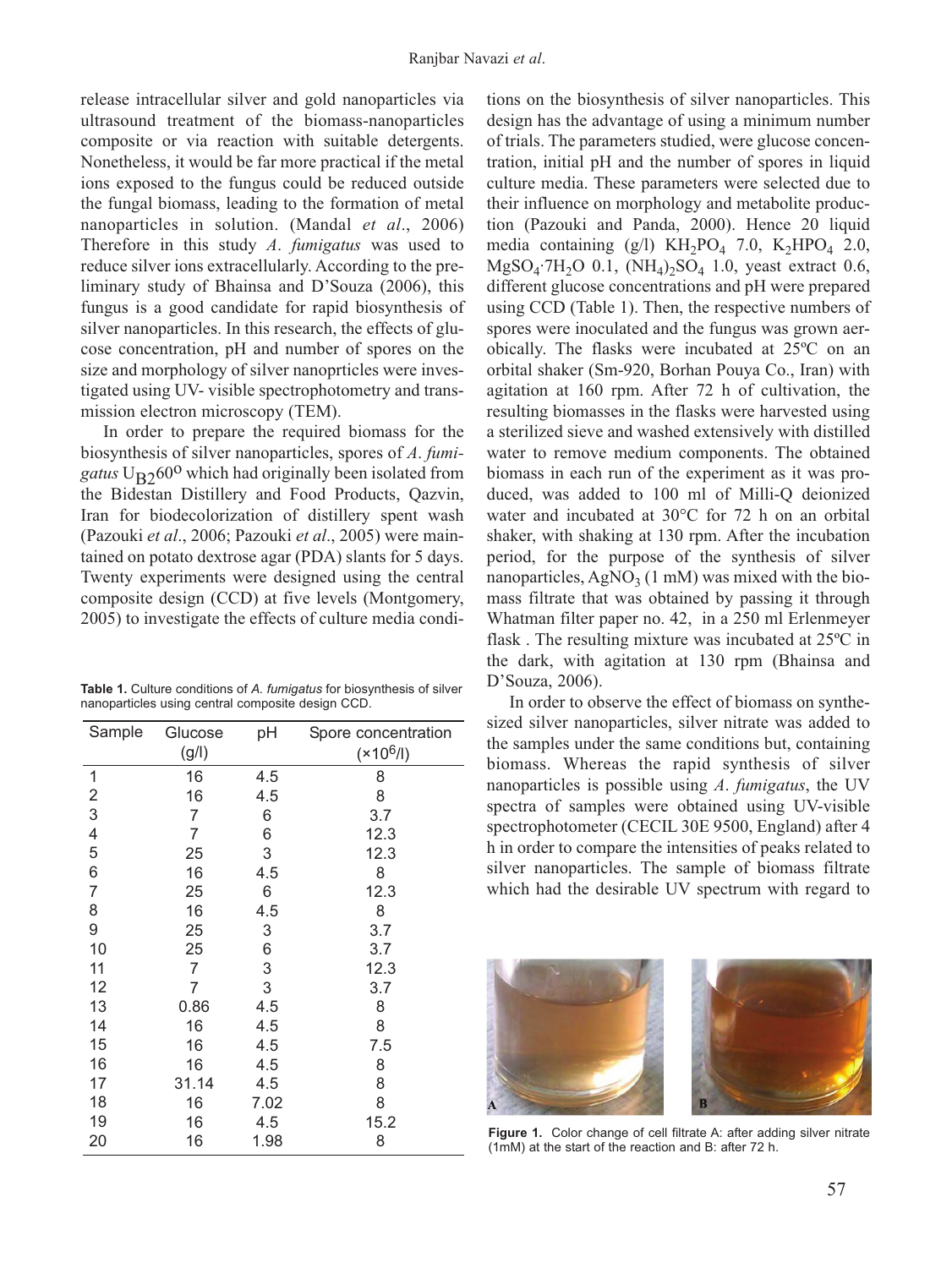release intracellular silver and gold nanoparticles via ultrasound treatment of the biomass-nanoparticles composite or via reaction with suitable detergents. Nonetheless, it would be far more practical if the metal ions exposed to the fungus could be reduced outside the fungal biomass, leading to the formation of metal nanoparticles in solution. (Mandal *et al*., 2006) Therefore in this study *A*. *fumigatus* was used to reduce silver ions extracellularly. According to the preliminary study of Bhainsa and D'Souza (2006), this fungus is a good candidate for rapid biosynthesis of silver nanoparticles. In this research, the effects of glucose concentration, pH and number of spores on the size and morphology of silver nanoprticles were investigated using UV- visible spectrophotometry and transmission electron microscopy (TEM).

In order to prepare the required biomass for the biosynthesis of silver nanoparticles, spores of *A*. *fumigatus*  $U_{\rm R2}$ 60<sup>o</sup> which had originally been isolated from the Bidestan Distillery and Food Products, Qazvin, Iran for biodecolorization of distillery spent wash (Pazouki *et al*., 2006; Pazouki *et al*., 2005) were maintained on potato dextrose agar (PDA) slants for 5 days. Twenty experiments were designed using the central composite design (CCD) at five levels (Montgomery, 2005) to investigate the effects of culture media condi-

**Table 1.** Culture conditions of *A. fumigatus* for biosynthesis of silver nanoparticles using central composite design CCD.

| Sample                  | Glucose | pH   | Spore concentration |
|-------------------------|---------|------|---------------------|
|                         | (g/I)   |      | $(x10^6/l)$         |
| 1                       | 16      | 4.5  | 8                   |
| $\overline{\mathbf{c}}$ | 16      | 4.5  | 8                   |
| 3                       | 7       | 6    | 3.7                 |
| 4                       | 7       | 6    | 12.3                |
| 5                       | 25      | 3    | 12.3                |
| 6                       | 16      | 4.5  | 8                   |
| $\overline{7}$          | 25      | 6    | 12.3                |
| 8                       | 16      | 4.5  | 8                   |
| 9                       | 25      | 3    | 3.7                 |
| 10                      | 25      | 6    | 3.7                 |
| 11                      | 7       | 3    | 12.3                |
| 12                      | 7       | 3    | 3.7                 |
| 13                      | 0.86    | 4.5  | 8                   |
| 14                      | 16      | 4.5  | 8                   |
| 15                      | 16      | 4.5  | 7.5                 |
| 16                      | 16      | 4.5  | 8                   |
| 17                      | 31.14   | 4.5  | 8                   |
| 18                      | 16      | 7.02 | 8                   |
| 19                      | 16      | 4.5  | 15.2                |
| 20                      | 16      | 1.98 | 8                   |

tions on the biosynthesis of silver nanoparticles. This design has the advantage of using a minimum number of trials. The parameters studied, were glucose concentration, initial pH and the number of spores in liquid culture media. These parameters were selected due to their influence on morphology and metabolite production (Pazouki and Panda, 2000). Hence 20 liquid media containing  $(g/l)$  KH<sub>2</sub>PO<sub>4</sub> 7.0, K<sub>2</sub>HPO<sub>4</sub> 2.0,  $MgSO<sub>4</sub>·7H<sub>2</sub>O$  0.1,  $(NH<sub>4</sub>)<sub>2</sub>SO<sub>4</sub>$  1.0, yeast extract 0.6, different glucose concentrations and pH were prepared using CCD (Table 1). Then, the respective numbers of spores were inoculated and the fungus was grown aerobically. The flasks were incubated at 25ºC on an orbital shaker (Sm-920, Borhan Pouya Co., Iran) with agitation at 160 rpm. After 72 h of cultivation, the resulting biomasses in the flasks were harvested using a sterilized sieve and washed extensively with distilled water to remove medium components. The obtained biomass in each run of the experiment as it was produced, was added to 100 ml of Milli-Q deionized water and incubated at 30°C for 72 h on an orbital shaker, with shaking at 130 rpm. After the incubation period, for the purpose of the synthesis of silver nanoparticles,  $AgNO<sub>3</sub>$  (1 mM) was mixed with the biomass filtrate that was obtained by passing it through Whatman filter paper no. 42, in a 250 ml Erlenmeyer flask . The resulting mixture was incubated at 25ºC in the dark, with agitation at 130 rpm (Bhainsa and D'Souza, 2006).

In order to observe the effect of biomass on synthesized silver nanoparticles, silver nitrate was added to the samples under the same conditions but, containing biomass. Whereas the rapid synthesis of silver nanoparticles is possible using *A*. *fumigatus*, the UV spectra of samples were obtained using UV-visible spectrophotometer (CECIL 30E 9500, England) after 4 h in order to compare the intensities of peaks related to silver nanoparticles. The sample of biomass filtrate which had the desirable UV spectrum with regard to



Figure 1. Color change of cell filtrate A: after adding silver nitrate (1mM) at the start of the reaction and B: after 72 h.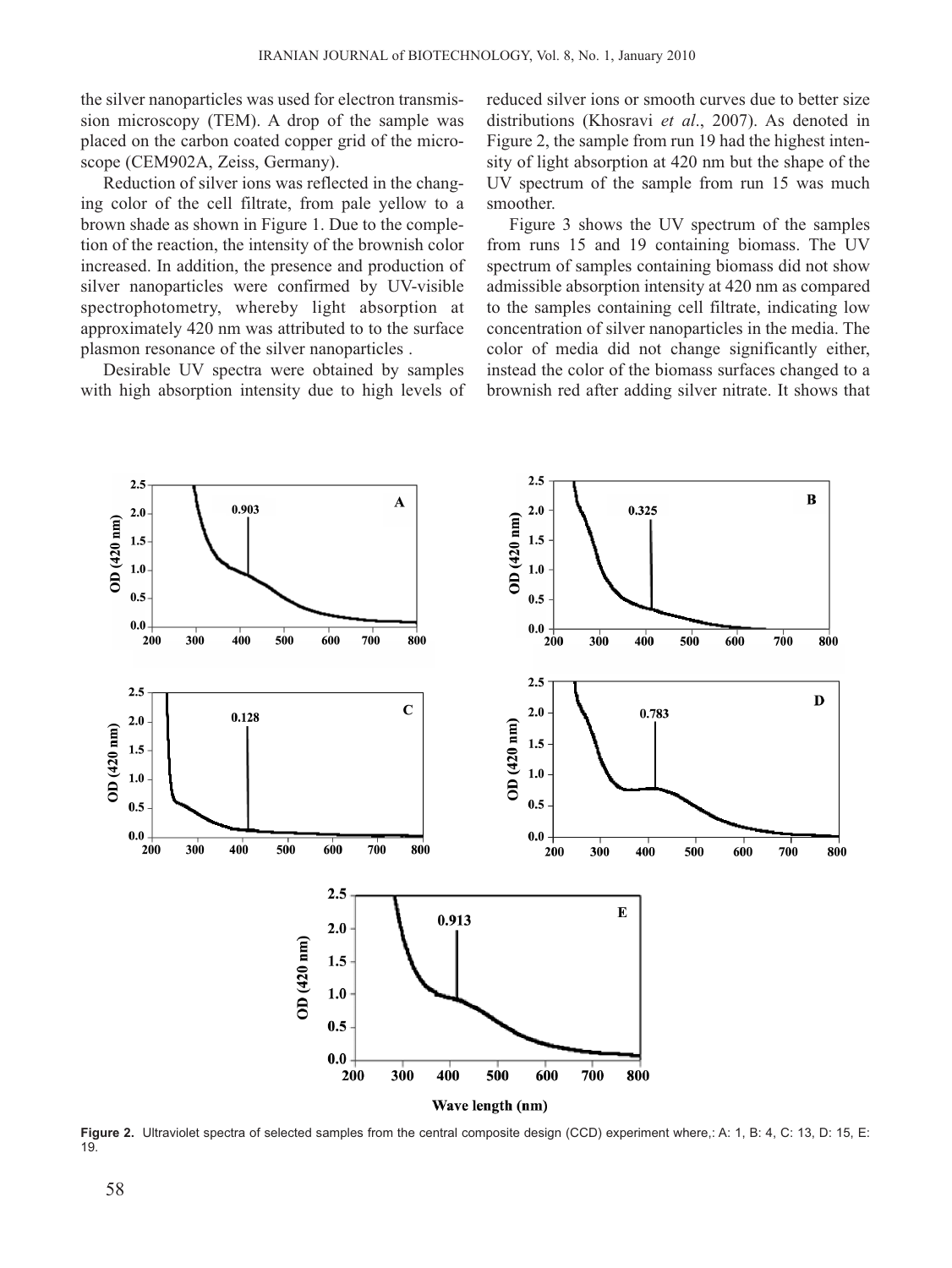the silver nanoparticles was used for electron transmission microscopy (TEM). A drop of the sample was placed on the carbon coated copper grid of the microscope (CEM902A, Zeiss, Germany).

Reduction of silver ions was reflected in the changing color of the cell filtrate, from pale yellow to a brown shade as shown in Figure 1. Due to the completion of the reaction, the intensity of the brownish color increased. In addition, the presence and production of silver nanoparticles were confirmed by UV-visible spectrophotometry, whereby light absorption at approximately 420 nm was attributed to to the surface plasmon resonance of the silver nanoparticles .

Desirable UV spectra were obtained by samples with high absorption intensity due to high levels of reduced silver ions or smooth curves due to better size distributions (Khosravi *et al*., 2007). As denoted in Figure 2, the sample from run 19 had the highest intensity of light absorption at 420 nm but the shape of the UV spectrum of the sample from run 15 was much smoother.

Figure 3 shows the UV spectrum of the samples from runs 15 and 19 containing biomass. The UV spectrum of samples containing biomass did not show admissible absorption intensity at 420 nm as compared to the samples containing cell filtrate, indicating low concentration of silver nanoparticles in the media. The color of media did not change significantly either, instead the color of the biomass surfaces changed to a brownish red after adding silver nitrate. It shows that



**Figure 2.** Ultraviolet spectra of selected samples from the central composite design (CCD) experiment where,: A: 1, B: 4, C: 13, D: 15, E: 19.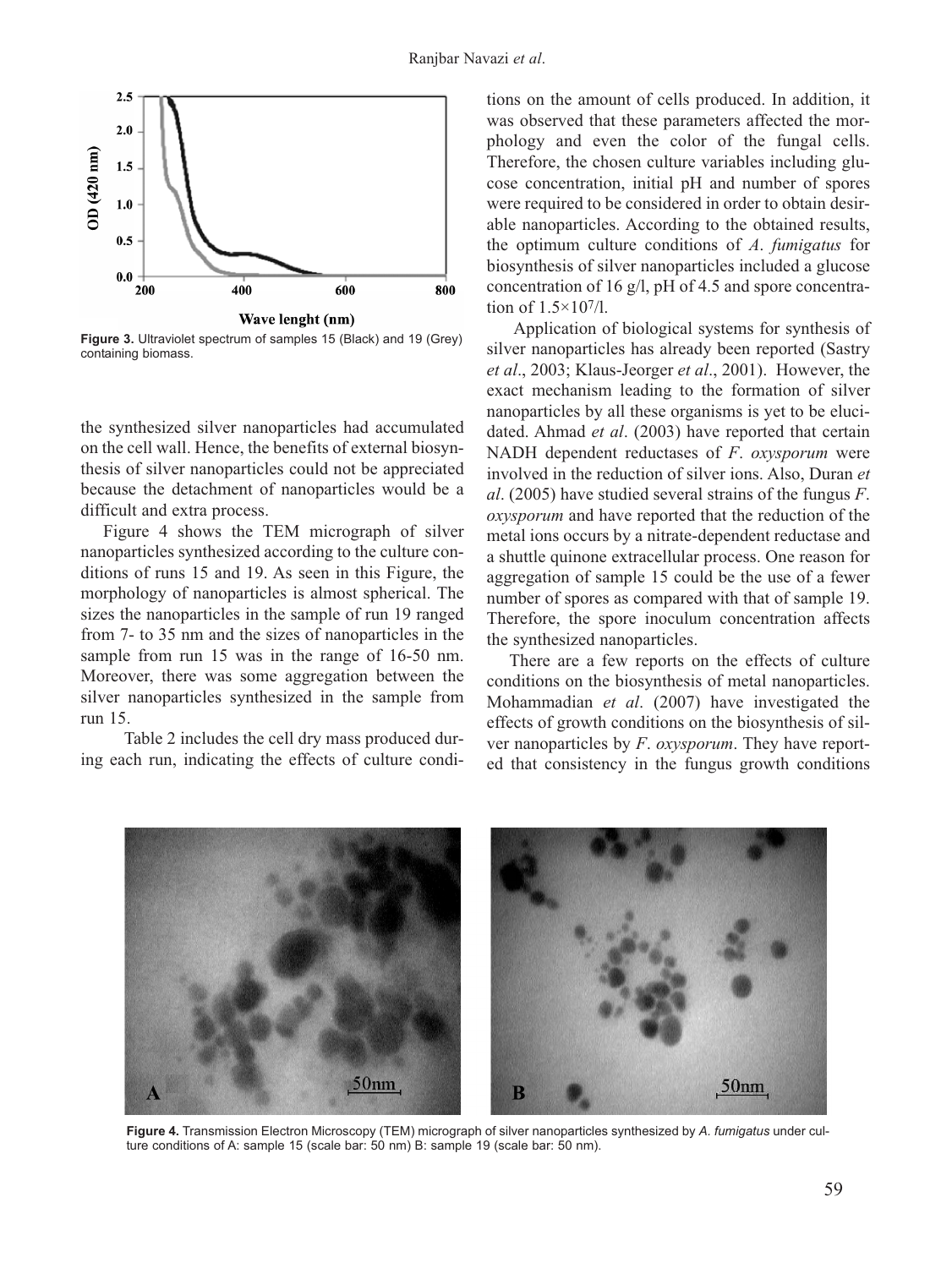

**Figure 3.** Ultraviolet spectrum of samples 15 (Black) and 19 (Grey) containing biomass.

the synthesized silver nanoparticles had accumulated on the cell wall. Hence, the benefits of external biosynthesis of silver nanoparticles could not be appreciated because the detachment of nanoparticles would be a difficult and extra process.

Figure 4 shows the TEM micrograph of silver nanoparticles synthesized according to the culture conditions of runs 15 and 19. As seen in this Figure, the morphology of nanoparticles is almost spherical. The sizes the nanoparticles in the sample of run 19 ranged from 7- to 35 nm and the sizes of nanoparticles in the sample from run 15 was in the range of 16-50 nm. Moreover, there was some aggregation between the silver nanoparticles synthesized in the sample from run 15.

Table 2 includes the cell dry mass produced during each run, indicating the effects of culture conditions on the amount of cells produced. In addition, it was observed that these parameters affected the morphology and even the color of the fungal cells. Therefore, the chosen culture variables including glucose concentration, initial pH and number of spores were required to be considered in order to obtain desirable nanoparticles. According to the obtained results, the optimum culture conditions of *A*. *fumigatus* for biosynthesis of silver nanoparticles included a glucose concentration of 16 g/l, pH of 4.5 and spore concentration of 1.5×107/l.

Application of biological systems for synthesis of silver nanoparticles has already been reported (Sastry *et al*., 2003; Klaus-Jeorger *et al*., 2001). However, the exact mechanism leading to the formation of silver nanoparticles by all these organisms is yet to be elucidated. Ahmad *et al*. (2003) have reported that certain NADH dependent reductases of *F*. *oxysporum* were involved in the reduction of silver ions. Also, Duran *et al*. (2005) have studied several strains of the fungus *F*. *oxysporum* and have reported that the reduction of the metal ions occurs by a nitrate-dependent reductase and a shuttle quinone extracellular process. One reason for aggregation of sample 15 could be the use of a fewer number of spores as compared with that of sample 19. Therefore, the spore inoculum concentration affects the synthesized nanoparticles.

There are a few reports on the effects of culture conditions on the biosynthesis of metal nanoparticles. Mohammadian *et al*. (2007) have investigated the effects of growth conditions on the biosynthesis of silver nanoparticles by *F*. *oxysporum*. They have reported that consistency in the fungus growth conditions



**Figure 4.** Transmission Electron Microscopy (TEM) micrograph of silver nanoparticles synthesized by *A. fumigatus* under culture conditions of A: sample 15 (scale bar: 50 nm) B: sample 19 (scale bar: 50 nm).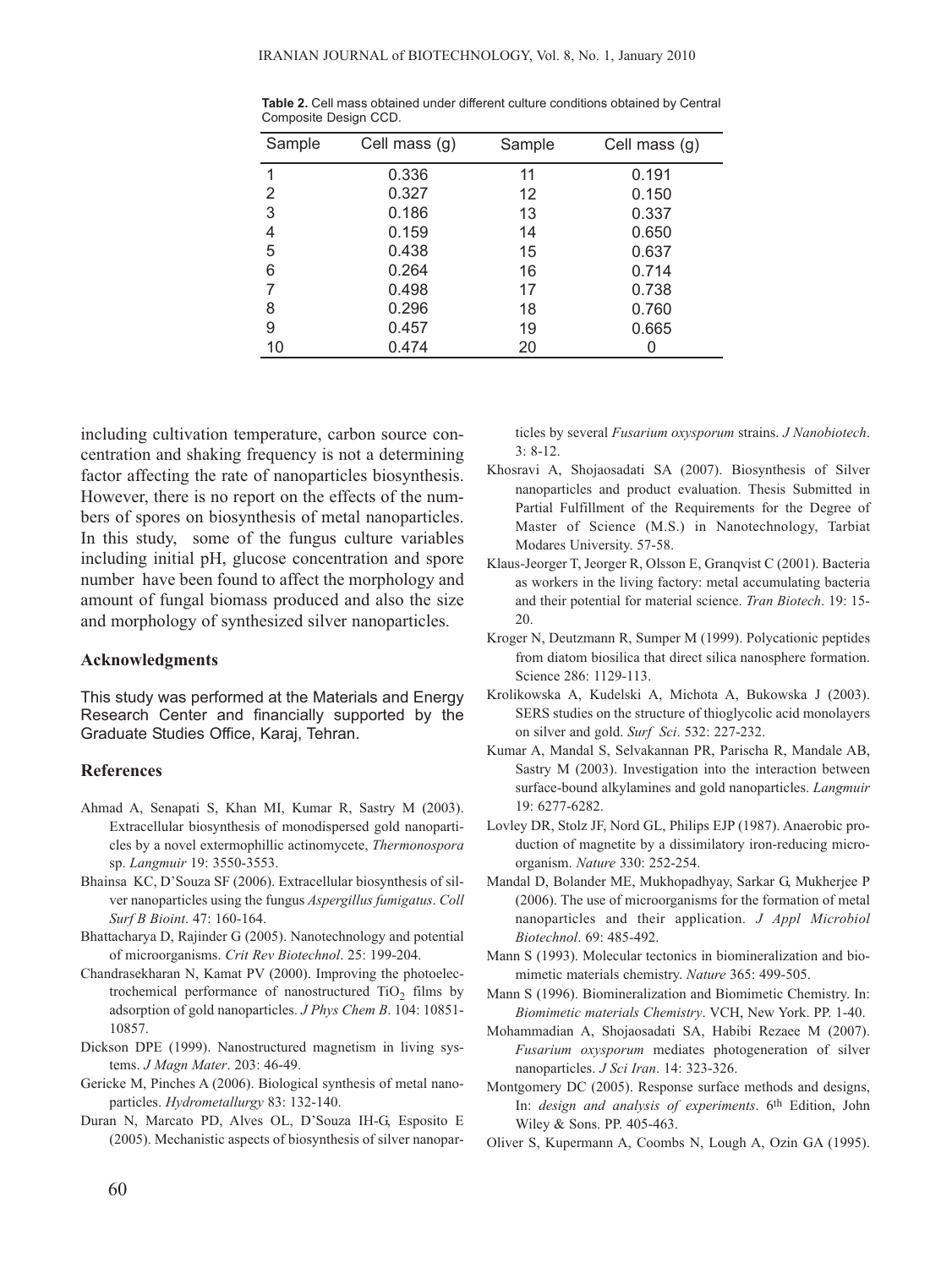| Sample | Cell mass (g) | Sample | Cell mass (g) |
|--------|---------------|--------|---------------|
| 1      | 0.336         | 11     | 0.191         |
| 2      | 0.327         | 12     | 0.150         |
| 3      | 0.186         | 13     | 0.337         |
| 4      | 0.159         | 14     | 0.650         |
| 5      | 0.438         | 15     | 0.637         |
| 6      | 0.264         | 16     | 0.714         |
|        | 0.498         | 17     | 0.738         |
| 8      | 0.296         | 18     | 0.760         |
| 9      | 0.457         | 19     | 0.665         |
| 10     | 0.474         | 20     |               |

**Table 2.** Cell mass obtained under different culture conditions obtained by Central Composite Design CCD.

including cultivation temperature, carbon source concentration and shaking frequency is not a determining factor affecting the rate of nanoparticles biosynthesis. However, there is no report on the effects of the numbers of spores on biosynthesis of metal nanoparticles. In this study, some of the fungus culture variables including initial pH, glucose concentration and spore number have been found to affect the morphology and amount of fungal biomass produced and also the size and morphology of synthesized silver nanoparticles.

## **Acknowledgments**

This study was performed at the Materials and Energy Research Center and financially supported by the Graduate Studies Office, Karaj, Tehran.

### **References**

- Ahmad A, Senapati S, Khan MI, Kumar R, Sastry M (2003). Extracellular biosynthesis of monodispersed gold nanoparticles by a novel extermophillic actinomycete, *Thermonospora* sp. *Langmuir* 19: 3550-3553.
- Bhainsa KC, D'Souza SF (2006). Extracellular biosynthesis of silver nanoparticles using the fungus *Aspergillus fumigatus*. *Coll Surf B Bioint*. 47: 160-164.
- Bhattacharya D, Rajinder G (2005). Nanotechnology and potential of microorganisms. *Crit Rev Biotechnol*. 25: 199-204.
- Chandrasekharan N, Kamat PV (2000). Improving the photoelectrochemical performance of nanostructured  $TiO<sub>2</sub>$  films by adsorption of gold nanoparticles. *J Phys Chem B*. 104: 10851- 10857.
- Dickson DPE (1999). Nanostructured magnetism in living systems. *J Magn Mater*. 203: 46-49.
- Gericke M, Pinches A (2006). Biological synthesis of metal nanoparticles. *Hydrometallurgy* 83: 132-140.
- Duran N, Marcato PD, Alves OL, D'Souza IH-G, Esposito E (2005). Mechanistic aspects of biosynthesis of silver nanopar-

ticles by several *Fusarium oxysporum* strains. *J Nanobiotech*. 3: 8-12.

- Khosravi A, Shojaosadati SA (2007). Biosynthesis of Silver nanoparticles and product evaluation. Thesis Submitted in Partial Fulfillment of the Requirements for the Degree of Master of Science (M.S.) in Nanotechnology, Tarbiat Modares University. 57-58.
- Klaus-Jeorger T, Jeorger R, Olsson E, Granqvist C (2001). Bacteria as workers in the living factory: metal accumulating bacteria and their potential for material science. *Tran Biotech*. 19: 15- 20.
- Kroger N, Deutzmann R, Sumper M (1999). Polycationic peptides from diatom biosilica that direct silica nanosphere formation. Science 286: 1129-113.
- Krolikowska A, Kudelski A, Michota A, Bukowska J (2003). SERS studies on the structure of thioglycolic acid monolayers on silver and gold. *Surf Sci*. 532: 227-232.
- Kumar A, Mandal S, Selvakannan PR, Parischa R, Mandale AB, Sastry M (2003). Investigation into the interaction between surface-bound alkylamines and gold nanoparticles. *Langmuir* 19: 6277-6282.
- Lovley DR, Stolz JF, Nord GL, Philips EJP (1987). Anaerobic production of magnetite by a dissimilatory iron-reducing microorganism. *Nature* 330: 252-254.
- Mandal D, Bolander ME, Mukhopadhyay, Sarkar G, Mukherjee P (2006). The use of microorganisms for the formation of metal nanoparticles and their application. *J Appl Microbiol Biotechnol*. 69: 485-492.
- Mann S (1993). Molecular tectonics in biomineralization and biomimetic materials chemistry. *Nature* 365: 499-505.
- Mann S (1996). Biomineralization and Biomimetic Chemistry. In: *Biomimetic materials Chemistry*. VCH, New York. PP. 1-40.
- Mohammadian A, Shojaosadati SA, Habibi Rezaee M (2007). *Fusarium oxysporum* mediates photogeneration of silver nanoparticles. *J Sci Iran*. 14: 323-326.
- Montgomery DC (2005). Response surface methods and designs, In: *design and analysis of experiments*. 6th Edition, John Wiley & Sons. PP. 405-463.
- Oliver S, Kupermann A, Coombs N, Lough A, Ozin GA (1995).